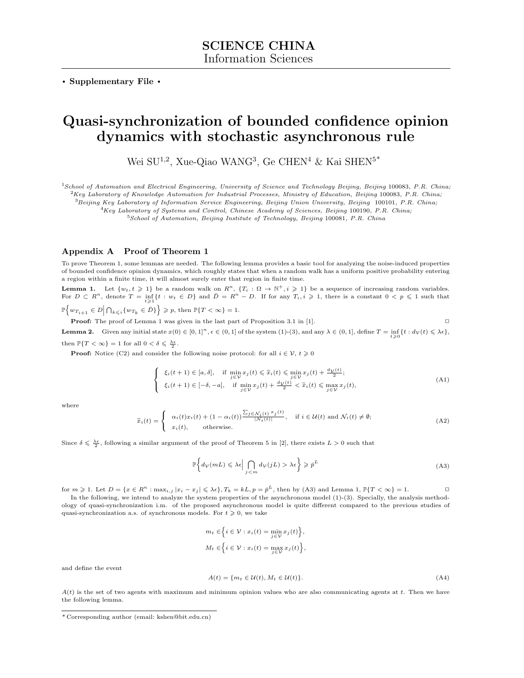**. Supplementary File .**

# **Quasi-synchronization of bounded confidence opinion dynamics with stochastic asynchronous rule**

Wei SU<sup>1,2</sup>, Xue-Qiao WANG<sup>3</sup>, Ge CHEN<sup>4</sup> & Kai SHEN<sup>5\*</sup>

<sup>1</sup>*School of Automation and Electrical Engineering, University of Science and Technology Beijing, Beijing* 100083*, P.R. China;* <sup>2</sup>*Key Laboratory of Knowledge Automation for Industrial Processes, Ministry of Education, Beijing* 100083*, P.R. China;*

<sup>3</sup>*Beijing Key Laboratory of Information Service Engineering, Beijing Union University, Beijing* 100101*, P.R. China;*

<sup>4</sup>*Key Laboratory of Systems and Control, Chinese Academy of Sciences, Beijing* 100190*, P.R. China;*

<sup>5</sup>*School of Automation, Beijing Institute of Technology, Beijing* 100081*, P.R. China*

#### **Appendix A Proof of Theorem 1**

To prove Theorem 1, some lemmas are needed. The following lemma provides a basic tool for analyzing the noise-induced properties of bounded confidence opinion dynamics, which roughly states that when a random walk has a uniform positive probability entering a region within a finite time, it will almost surely enter that region in finite time.

**Lemma 1.** Let  $\{w_t, t \geq 1\}$  be a random walk on  $R^n$ ,  $\{T_i : \Omega \to \mathbb{N}^+, i \geq 1\}$  be a sequence of increasing random variables. For  $D \subset R^n$ , denote  $T = \inf_{t \ge 1} \{t : w_t \in D\}$  and  $\overline{D} = R^n - D$ . If for any  $T_i, i \ge 1$ , there is a constant  $0 \le p \le 1$  such that

 $\mathbb{P}\left\{ w_{T_{i+1}} \in D \Big| \bigcap_{k \leq i} \{ w_{T_k} \in \bar{D} \} \right\} \geqslant p$ , then  $\mathbb{P}\{T < \infty\} = 1$ .

**Proof:** The proof of Lemma 1 was given in the last part of Proposition 3.1 in [1]. □ **Lemma 2.** Given any initial state  $x(0) \in [0,1]^n$ ,  $\epsilon \in (0,1]$  of the system (1)-(3), and any  $\lambda \in (0,1]$ , define  $T = \inf_{t \geq 0} \{t : d_{\mathcal{V}}(t) \leq \lambda \epsilon\}$ ,

then  $\mathbb{P}\{T < \infty\} = 1$  for all  $0 < \delta \leq \frac{\lambda \epsilon}{2}$ .

**Proof:** Notice (C2) and consider the following noise protocol: for all  $i \in V$ ,  $t \ge 0$ 

$$
\begin{cases} \xi_i(t+1) \in [a, \delta], & \text{if } \min_{j \in \mathcal{V}} x_j(t) \leq \widetilde{x}_i(t) \leq \min_{j \in \mathcal{V}} x_j(t) + \frac{d_{\mathcal{V}}(t)}{2};\\ \xi_i(t+1) \in [-\delta, -a], & \text{if } \min_{j \in \mathcal{V}} x_j(t) + \frac{d_{\mathcal{V}}(t)}{2} < \widetilde{x}_i(t) \leq \max_{j \in \mathcal{V}} x_j(t), \end{cases} \tag{A1}
$$

where

$$
\widetilde{x}_i(t) = \begin{cases}\n\alpha_i(t)x_i(t) + (1 - \alpha_i(t)) \frac{\sum_{j \in \mathcal{N}_i(t)} x_j(t)}{|N_i(t)|}, & \text{if } i \in \mathcal{U}(t) \text{ and } \mathcal{N}_i(t) \neq \emptyset; \\
x_i(t), & \text{otherwise.} \n\end{cases} \tag{A2}
$$

Since  $\delta \leq \frac{\lambda \epsilon}{2}$ , following a similar argument of the proof of Theorem 5 in [2], there exists  $L > 0$  such that

$$
\mathbb{P}\bigg\{d_{\mathcal{V}}(mL)\leqslant\lambda\epsilon\bigg|\bigcap_{j\lambda\epsilon\bigg\}\geqslant\bar{p}^L\tag{A3}
$$

for  $m \geqslant 1$ . Let  $D = \{x \in R^n : \max_{i,j} |x_i - x_j| \leqslant \lambda \epsilon\}, T_k = kL, p = \bar{p}^L$ , then by (A3) and Lemma 1,  $\mathbb{P}\{T < \infty\} = 1$ .

In the following, we intend to analyze the system properties of the asynchronous model  $(1)-(3)$ . Specially, the analysis methodology of quasi-synchronization i.m. of the proposed asynchronous model is quite different compared to the previous studies of quasi-synchronization a.s. of synchronous models. For  $t \geq 0$ , we take

$$
m_t \in \left\{ i \in \mathcal{V} : x_i(t) = \min_{j \in \mathcal{V}} x_j(t) \right\},\,
$$
  

$$
M_t \in \left\{ i \in \mathcal{V} : x_i(t) = \max_{j \in \mathcal{V}} x_j(t) \right\},\,
$$

and define the event

$$
A(t) = \{m_t \in \mathcal{U}(t), M_t \in \mathcal{U}(t)\}.
$$
\n(A4)

*A*(*t*) is the set of two agents with maximum and minimum opinion values who are also communicating agents at *t*. Then we have the following lemma.

<sup>\*</sup> Corresponding author (email: kshen@bit.edu.cn)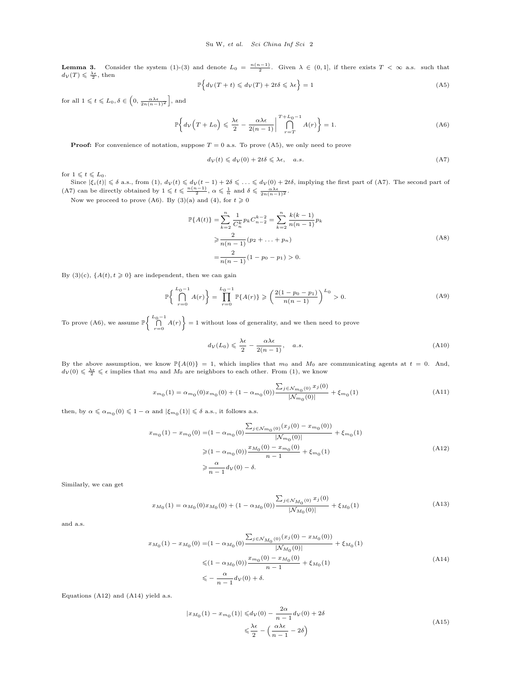**Lemma 3.** Consider the system (1)-(3) and denote  $L_0 = \frac{n(n-1)}{2}$ . Given  $\lambda \in (0,1]$ , if there exists  $T < \infty$  a.s. such that  $d_{\mathcal{V}}(T) \leqslant \frac{\lambda \epsilon}{2}$ , then

$$
\mathbb{P}\Big\{d_{\mathcal{V}}(T+t)\leqslant d_{\mathcal{V}}(T)+2t\delta\leqslant\lambda\epsilon\Big\}=1\tag{A5}
$$

for all  $1 \leqslant t \leqslant L_0, \delta \in \left(0, \frac{\alpha \lambda \epsilon}{2n(n-1)^2}\right]$ , and

$$
\mathbb{P}\left\{d_{\mathcal{V}}\left(T+L_0\right) \leq \frac{\lambda\epsilon}{2} - \frac{\alpha\lambda\epsilon}{2(n-1)} \bigg| \bigcap_{r=T}^{T+L_0-1} A(r)\right\} = 1.
$$
\n(A6)

**Proof:** For convenience of notation, suppose  $T = 0$  a.s. To prove  $(A5)$ , we only need to prove

$$
d_{\mathcal{V}}(t) \leqslant d_{\mathcal{V}}(0) + 2t\delta \leqslant \lambda \epsilon, \quad a.s. \tag{A7}
$$

for  $1 \leqslant t \leqslant L_0$ .

Since  $|\xi_i(t)| \leq \delta$  a.s., from  $(1)$ ,  $d_{\mathcal{V}}(t) \leq d_{\mathcal{V}}(t-1) + 2\delta \leq \ldots \leq d_{\mathcal{V}}(0) + 2t\delta$ , implying the first part of (A7). The second part of (A7) can be directly obtained by  $1 \leq t \leq \frac{n(n-1)}{2}$ ,  $\alpha \leq \frac{1}{n}$  and  $\delta \leq \frac{\alpha \lambda \epsilon}{2n(n-1)^2}$ .

Now we proceed to prove (A6). By (3)(a) and (4), for  $t \ge 0$ 

$$
\mathbb{P}{A(t)} = \sum_{k=2}^{n} \frac{1}{C_n^k} p_k C_{n-2}^{k-2} = \sum_{k=2}^{n} \frac{k(k-1)}{n(n-1)} p_k
$$
  
\n
$$
\geq \frac{2}{n(n-1)} (p_2 + \dots + p_n)
$$
  
\n
$$
= \frac{2}{n(n-1)} (1 - p_0 - p_1) > 0.
$$
 (A8)

By (3)(c),  $\{A(t), t \geq 0\}$  are independent, then we can gain

$$
\mathbb{P}\left\{\bigcap_{r=0}^{L_0-1} A(r)\right\} = \prod_{r=0}^{L_0-1} \mathbb{P}\{A(r)\} \geqslant \left(\frac{2(1-p_0-p_1)}{n(n-1)}\right)^{L_0} > 0. \tag{A9}
$$

To prove (A6), we assume  $\mathbb{P}\left\{\bigcap_{r=0}^{L_0-1} A(r)\right\} = 1$  without loss of generality, and we then need to prove

$$
d_{\mathcal{V}}(L_0) \leqslant \frac{\lambda \epsilon}{2} - \frac{\alpha \lambda \epsilon}{2(n-1)}, \quad a.s. \tag{A10}
$$

By the above assumption, we know  $\mathbb{P}\{A(0)\} = 1$ , which implies that  $m_0$  and  $M_0$  are communicating agents at  $t = 0$ . And,  $d_V(0) \leq \frac{\lambda \epsilon}{2} \leq \epsilon$  implies that  $m_0$  and  $M_0$  are neighbors to each other. From (1), we know

$$
x_{m_0}(1) = \alpha_{m_0}(0)x_{m_0}(0) + (1 - \alpha_{m_0}(0)) \frac{\sum_{j \in \mathcal{N}_{m_0}(0)} x_j(0)}{|\mathcal{N}_{m_0}(0)|} + \xi_{m_0}(1) \tag{A11}
$$

then, by  $\alpha \leq \alpha_{m_0}(0) \leq 1 - \alpha$  and  $|\xi_{m_0}(1)| \leq \delta$  a.s., it follows a.s.

$$
x_{m_0}(1) - x_{m_0}(0) = (1 - \alpha_{m_0}(0) \frac{\sum_{j \in \mathcal{N}_{m_0}(0)} (x_j(0) - x_{m_0}(0))}{|\mathcal{N}_{m_0}(0)|} + \xi_{m_0}(1)
$$
  
\n
$$
\geq (1 - \alpha_{m_0}(0)) \frac{x_{M_0}(0) - x_{m_0}(0)}{n - 1} + \xi_{m_0}(1)
$$
  
\n
$$
\geq \frac{\alpha}{n - 1} d_V(0) - \delta.
$$
 (A12)

Similarly, we can get

$$
x_{M_0}(1) = \alpha_{M_0}(0)x_{M_0}(0) + (1 - \alpha_{M_0}(0)) \frac{\sum_{j \in \mathcal{N}_{M_0}(0)} x_j(0)}{|\mathcal{N}_{M_0}(0)|} + \xi_{M_0}(1)
$$
\n(A13)

and a.s.

$$
x_{M_0}(1) - x_{M_0}(0) = (1 - \alpha_{M_0}(0) \frac{\sum_{j \in \mathcal{N}_{M_0}(0)} (x_j(0) - x_{M_0}(0))}{|\mathcal{N}_{M_0}(0)|} + \xi_{M_0}(1)
$$
  

$$
\leq (1 - \alpha_{M_0}(0)) \frac{x_{m_0}(0) - x_{M_0}(0)}{n - 1} + \xi_{M_0}(1)
$$
  

$$
\leq -\frac{\alpha}{n - 1} d_V(0) + \delta.
$$
 (A14)

Equations (A12) and (A14) yield a.s.

$$
|x_{M_0}(1) - x_{m_0}(1)| \le d_V(0) - \frac{2\alpha}{n-1} d_V(0) + 2\delta
$$
  

$$
\le \frac{\lambda \epsilon}{2} - \left(\frac{\alpha \lambda \epsilon}{n-1} - 2\delta\right)
$$
 (A15)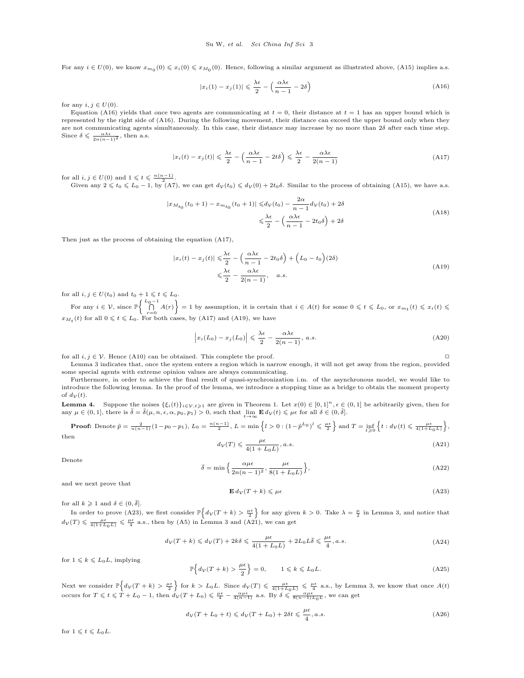For any  $i \in U(0)$ , we know  $x_{m_0}(0) \leq x_i(0) \leq x_{M_0}(0)$ . Hence, following a similar argument as illustrated above, (A15) implies a.s.

$$
|x_i(1) - x_j(1)| \leq \frac{\lambda \epsilon}{2} - \left(\frac{\alpha \lambda \epsilon}{n - 1} - 2\delta\right)
$$
 (A16)

for any  $i, j \in U(0)$ .

Equation (A16) yields that once two agents are communicating at  $t = 0$ , their distance at  $t = 1$  has an upper bound which is represented by the right side of (A16). During the following movement, their distance can exceed the upper bound only when they are not communicating agents simultaneously. In this case, their distance may increase by no more than 2*δ* after each time step. Since  $\delta \leqslant \frac{\alpha \lambda \epsilon}{2n(n-1)^2}$ , then a.s.

$$
|x_i(t) - x_j(t)| \leq \frac{\lambda \epsilon}{2} - \left(\frac{\alpha \lambda \epsilon}{n-1} - 2t\delta\right) \leq \frac{\lambda \epsilon}{2} - \frac{\alpha \lambda \epsilon}{2(n-1)}
$$
(A17)

for all  $i, j \in U(0)$  and  $1 \leqslant t \leqslant \frac{n(n-1)}{2}$ .

Given any  $2 \leq t_0 \leq L_0 - 1$ , by (A7), we can get  $d_V(t_0) \leq d_V(0) + 2t_0 \delta$ . Similar to the process of obtaining (A15), we have a.s.

$$
|x_{M_{t_0}}(t_0+1) - x_{m_{t_0}}(t_0+1)| \le d_V(t_0) - \frac{2\alpha}{n-1}d_V(t_0) + 2\delta
$$
  

$$
\le \frac{\lambda\epsilon}{2} - \left(\frac{\alpha\lambda\epsilon}{n-1} - 2t_0\delta\right) + 2\delta
$$
 (A18)

Then just as the process of obtaining the equation (A17),

$$
|x_i(t) - x_j(t)| \leq \frac{\lambda \epsilon}{2} - \left(\frac{\alpha \lambda \epsilon}{n-1} - 2t_0 \delta\right) + \left(L_0 - t_0\right)(2\delta)
$$
  

$$
\leq \frac{\lambda \epsilon}{2} - \frac{\alpha \lambda \epsilon}{2(n-1)}, \quad a.s.
$$
 (A19)

for all  $i, j \in U(t_0)$  and  $t_0 + 1 \leqslant t \leqslant L_0$ .

For any  $i \in \mathcal{V}$ , since  $\mathbb{P}\left\{\bigcap_{r=0}^{L_0-1} A(r)\right\} = 1$  by assumption, it is certain that  $i \in A(t)$  for some  $0 \leq t \leq L_0$ , or  $x_{m_t}(t) \leq x_i(t) \leq$  $x_{M_t}(t)$  for all  $0 \leq t \leq L_0$ . For both cases, by (A17) and (A19), we have

$$
\left| x_i(L_0) - x_j(L_0) \right| \leqslant \frac{\lambda \epsilon}{2} - \frac{\alpha \lambda \epsilon}{2(n-1)}, \, a.s. \tag{A20}
$$

for all *i, j* ∈  $V$ . Hence (A10) can be obtained. This complete the proof.  $□$ 

Lemma 3 indicates that, once the system enters a region which is narrow enough, it will not get away from the region, provided some special agents with extreme opinion values are always communicating.

Furthermore, in order to achieve the final result of quasi-synchronization i.m. of the asynchronous model, we would like to introduce the following lemma. In the proof of the lemma, we introduce a stopping time as a bridge to obtain the moment property of  $d_V(t)$ .

**Lemma 4.** Suppose the noises  $\{\xi_i(t)\}_{i\in\mathcal{V},t\geqslant 1}$  are given in Theorem 1. Let  $x(0) \in [0,1]^n, \epsilon \in (0,1]$  be arbitrarily given, then for any  $\mu \in (0, 1]$ , there is  $\bar{\delta} = \bar{\delta}(\mu, n, \epsilon, \alpha, p_0, p_1) > 0$ , such that  $\lim_{t \to \infty} \mathbf{E} d_{\mathcal{V}}(t) \leq \mu \epsilon$  for all  $\delta \in (0, \bar{\delta}]$ .

**Proof:** Denote 
$$
\tilde{p} = \frac{2}{n(n-1)}(1-p_0-p_1), L_0 = \frac{n(n-1)}{2}, L = \min\left\{l > 0: (1-\tilde{p}^{L_0})^l \leq \frac{\mu\epsilon}{2}\right\}
$$
 and  $T = \inf_{t \geq 0} \left\{t : d_V(t) \leq \frac{\mu\epsilon}{4(1+L_0L)}\right\}$ , then  $d_V(T) \leq \frac{\mu\epsilon}{2}$  and  $d_V(T) \leq \frac{\mu\epsilon}{2}$ .

$$
d_{\mathcal{V}}(T) \leqslant \frac{\mu\epsilon}{4(1 + L_0 L)}, a.s.
$$
\n(A21)

Denote

$$
\bar{\delta} = \min\left\{\frac{\alpha\mu\epsilon}{2n(n-1)^2}, \frac{\mu\epsilon}{8(1+L_0L)}\right\},\tag{A22}
$$

and we next prove that

$$
\mathbf{E} \, d_{\mathcal{V}}(T+k) \leqslant \mu \epsilon \tag{A23}
$$

for all  $k \geq 1$  and  $\delta \in (0, \overline{\delta}]$ .

In order to prove (A23), we first consider  $\mathbb{P}\left\{d\mathbf{\nu}(T+k) > \frac{\mu\epsilon}{2}\right\}$  for any given  $k > 0$ . Take  $\lambda = \frac{\mu}{2}$  in Lemma 3, and notice that  $d_V(T) \leq \frac{\mu \epsilon}{4(1+L_0 L)} \leq \frac{\mu \epsilon}{4}$  a.s., then by (A5) in Lemma 3 and (A21), we can get

$$
d_{\mathcal{V}}(T+k) \leq d_{\mathcal{V}}(T) + 2k\delta \leq \frac{\mu\epsilon}{4(1+L_0L)} + 2L_0L\bar{\delta} \leq \frac{\mu\epsilon}{4}, a.s.
$$
\n(A24)

for  $1 \leqslant k \leqslant L_0 L$ , implying

$$
\mathbb{P}\Big\{d_{\mathcal{V}}(T+k) > \frac{\mu\epsilon}{2}\Big\} = 0, \qquad 1 \leqslant k \leqslant L_0 L. \tag{A25}
$$

Next we consider  $\mathbb{P}\left\{d_{\mathcal{V}}(T+k) > \frac{\mu\epsilon}{2}\right\}$  for  $k > L_0 L$ . Since  $d_{\mathcal{V}}(T) \leq \frac{\mu\epsilon}{4(1+L_0 L)} \leq \frac{\mu\epsilon}{4}$  a.s., by Lemma 3, we know that once  $A(t)$ occurs for  $T \leq t \leq T + L_0 - 1$ , then  $d_V(T + L_0) \leq \frac{\mu \epsilon}{4} - \frac{\alpha \mu \epsilon}{4(n-1)}$  a.s. By  $\delta \leq \frac{\alpha \mu \epsilon}{8(n-1)L_0 L}$ , we can get

$$
d_V(T + L_0 + t) \leq d_V(T + L_0) + 2\delta t \leq \frac{\mu\epsilon}{4}, a.s.
$$
\n(A26)

for  $1 \leqslant t \leqslant L_0L$ .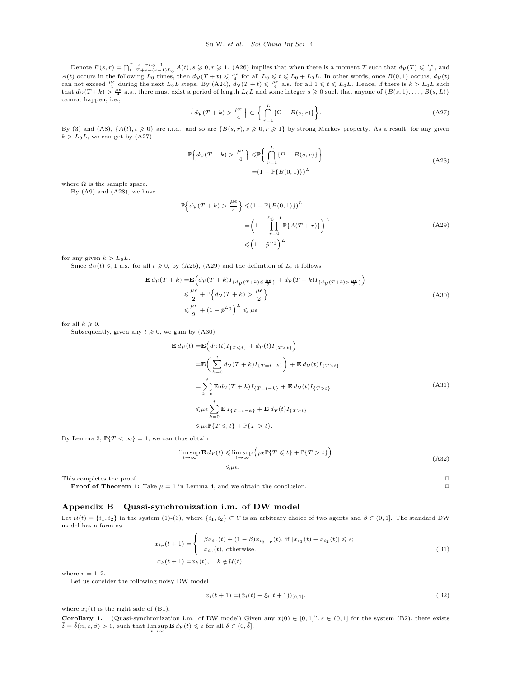Denote  $B(s,r) = \bigcap_{t=T+s+(r-1)L_0}^{T+s+rL_0-1} A(t), s \geqslant 0, r \geqslant 1.$  (A26) implies that when there is a moment T such that  $d_V(T) \leqslant \frac{\mu\epsilon}{4}$ , and  $A(t)$  occurs in the following  $L_0$  times, then  $d_V(T + t) \leq \frac{\mu \epsilon}{4}$  for all  $L_0 \leq t \leq L_0 + L_0 L$ . In other words, once  $B(0, 1)$  occurs,  $d_V(t)$ can not exceed  $\frac{\mu\epsilon}{4}$  during the next  $L_0L$  steps. By (A24),  $\dot{d}_\mathcal{V}(T+t) \leq \frac{\mu\epsilon}{4}$  a.s. for all  $1 \leq t \leq L_0L$ . Hence, if there is  $k > L_0L$  such that  $d_V(T+k) > \frac{\mu \epsilon}{4}$  a.s., there must exist a period of length  $L_0L$  and some integer  $s \geqslant 0$  such that anyone of  $\{B(s,1), \ldots, B(s,L)\}$ cannot happen, i.e.,

$$
\left\{d_V(T+k) > \frac{\mu\epsilon}{4}\right\} \subset \left\{\bigcap_{r=1}^L \left\{\Omega - B(s,r)\right\}\right\}.
$$
\n(A27)

By (3) and (A8),  $\{A(t), t \ge 0\}$  are i.i.d., and so are  $\{B(s, r), s \ge 0, r \ge 1\}$  by strong Markov property. As a result, for any given  $k > L_0L$ , we can get by  $(A27)$ 

$$
\mathbb{P}\Big\{d_{\mathcal{V}}(T+k) > \frac{\mu\epsilon}{4}\Big\} \leq \mathbb{P}\Big\{\bigcap_{r=1}^{L}\{\Omega - B(s,r)\}\Big\}
$$
\n
$$
= \left(1 - \mathbb{P}\{B(0,1)\}\right)^{L}
$$
\n(A28)

where  $\Omega$  is the sample space.

By (A9) and (A28), we have

$$
\mathbb{P}\left\{d_V(T+k) > \frac{\mu\epsilon}{4}\right\} \leq (1 - \mathbb{P}\{B(0,1)\})^L
$$

$$
= \left(1 - \prod_{r=0}^{L_0 - 1} \mathbb{P}\{A(T+r)\}\right)^L
$$
(A29)
$$
\leq (1 - \tilde{p}^{L_0})^L
$$

for any given  $k > L_0L$ .

Since  $d_V(t) \leq 1$  a.s. for all  $t \geq 0$ , by (A25), (A29) and the definition of *L*, it follows

$$
\mathbf{E} d_V(T+k) = \mathbf{E} \Big( d_V(T+k) I_{\{d_V(T+k) \le \frac{\mu \epsilon}{2}\}} + d_V(T+k) I_{\{d_V(T+k) > \frac{\mu \epsilon}{2}\}} \Big)
$$
  

$$
\le \frac{\mu \epsilon}{2} + \mathbb{P} \Big\{ d_V(T+k) > \frac{\mu \epsilon}{2} \Big\}
$$
  

$$
\le \frac{\mu \epsilon}{2} + (1 - \tilde{p}^{L_0})^L \le \mu \epsilon
$$
 (A30)

for all  $k \geqslant 0$ .

Subsequently, given any  $t \geq 0$ , we gain by (A30)

$$
\mathbf{E} d_{\mathcal{V}}(t) = \mathbf{E} \Big( d_{\mathcal{V}}(t) I_{\{T \le t\}} + d_{\mathcal{V}}(t) I_{\{T > t\}} \Big)
$$
\n
$$
= \mathbf{E} \Big( \sum_{k=0}^{t} d_{\mathcal{V}}(T+k) I_{\{T=t-k\}} \Big) + \mathbf{E} d_{\mathcal{V}}(t) I_{\{T > t\}}
$$
\n
$$
= \sum_{k=0}^{t} \mathbf{E} d_{\mathcal{V}}(T+k) I_{\{T=t-k\}} + \mathbf{E} d_{\mathcal{V}}(t) I_{\{T > t\}}
$$
\n
$$
\leq \mu \epsilon \sum_{k=0}^{t} \mathbf{E} I_{\{T=t-k\}} + \mathbf{E} d_{\mathcal{V}}(t) I_{\{T > t\}}
$$
\n
$$
\leq \mu \epsilon \mathbb{P} \{T \leq t\} + \mathbb{P} \{T > t\}. \tag{A31}
$$

By Lemma 2,  $\mathbb{P}\{T < \infty\} = 1$ , we can thus obtain

$$
\limsup_{t \to \infty} \mathbf{E} d_{\mathcal{V}}(t) \leq \limsup_{t \to \infty} \left( \mu \epsilon \mathbb{P} \{ T \leq t \} + \mathbb{P} \{ T > t \} \right)
$$
\n
$$
\leq \mu \epsilon.
$$
\n(A32)

This completes the proof. **□** 

**Proof of Theorem 1:** Take  $\mu = 1$  in Lemma 4, and we obtain the conclusion.  $\Box$ 

#### **Appendix B Quasi-synchronization i.m. of DW model**

Let  $\mathcal{U}(t) = \{i_1, i_2\}$  in the system (1)-(3), where  $\{i_1, i_2\} \subset \mathcal{V}$  is an arbitrary choice of two agents and  $\beta \in (0, 1]$ . The standard DW model has a form as

$$
x_{i_r}(t+1) = \begin{cases} \beta x_{i_r}(t) + (1-\beta)x_{i_{3-r}}(t), \text{ if } |x_{i_1}(t) - x_{i_2}(t)| \le \epsilon; \\ x_{i_r}(t), \text{ otherwise.} \end{cases}
$$
  
(B1)  

$$
x_k(t+1) = x_k(t), \quad k \notin \mathcal{U}(t),
$$

where  $r = 1, 2$ .

Let us consider the following noisy DW model

$$
x_i(t+1) = (\tilde{x}_i(t) + \xi_i(t+1))_{[0,1]},
$$
\n(B2)

where  $\tilde{x}_i(t)$  is the right side of (B1).

**Corollary 1.** (Quasi-synchronization i.m. of DW model) Given any  $x(0) \in [0,1]^n$ ,  $\epsilon \in (0,1]$  for the system (B2), there exists  $\overline{\delta} = \overline{\delta}(n, \epsilon, \beta) > 0$ , such that  $\limsup_{t \to \infty} \mathbf{E} d_{\mathcal{V}}(t) \leq \epsilon$  for all  $\delta \in (0, \overline{\delta}]$ .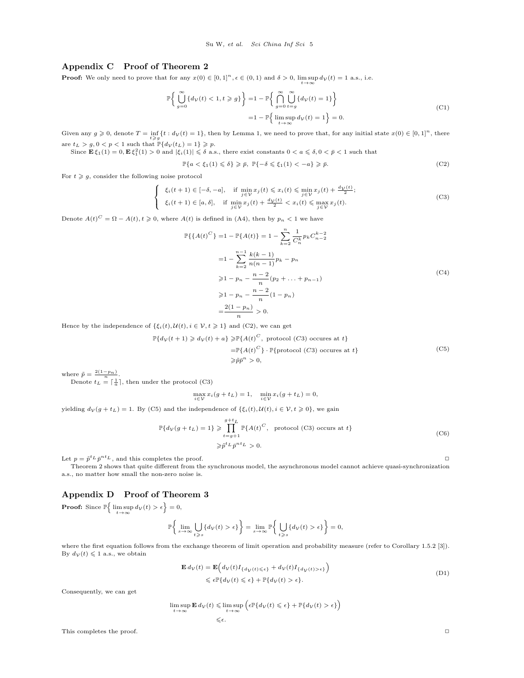### **Appendix C Proof of Theorem 2**

**Proof:** We only need to prove that for any  $x(0) \in [0,1]^n$ ,  $\epsilon \in (0,1)$  and  $\delta > 0$ ,  $\limsup_{t \to \infty} d_{\mathcal{V}}(t) = 1$  a.s., i.e.

$$
\mathbb{P}\left\{\bigcup_{g=0}^{\infty} \{d_{\mathcal{V}}(t) < 1, t \ge g\}\right\} = 1 - \mathbb{P}\left\{\bigcap_{g=0}^{\infty} \bigcup_{t=g}^{\infty} \{d_{\mathcal{V}}(t) = 1\}\right\}
$$
\n
$$
= 1 - \mathbb{P}\left\{\limsup_{t \to \infty} d_{\mathcal{V}}(t) = 1\right\} = 0.
$$
\n
$$
(C1)
$$

Given any  $g \ge 0$ , denote  $T = \inf_{t \ge g} \{t : d_V(t) = 1\}$ , then by Lemma 1, we need to prove that, for any initial state  $x(0) \in [0,1]^n$ , there are  $t_L > g, 0 < p < 1$  such that  $\mathbb{P}\{d_V(t_L) = 1\} \geq p$ .

Since  $\mathbf{E} \xi_1(1) = 0, \mathbf{E} \xi_1^2(1) > 0$  and  $|\xi_i(1)| \leq \delta$  a.s., there exist constants  $0 < a \leq \delta, 0 < \bar{p} < 1$  such that

$$
\mathbb{P}\{a < \xi_1(1) \leq \delta\} \geq \bar{p}, \ \mathbb{P}\{-\delta \leq \xi_1(1) < -a\} \geq \bar{p}.\tag{C2}
$$

For  $t \geqslant q$ , consider the following noise protocol

$$
\begin{cases}\n\xi_i(t+1) \in [-\delta, -a], & \text{if } \min_{j \in \mathcal{V}} x_j(t) \leq x_i(t) \leq \min_{j \in \mathcal{V}} x_j(t) + \frac{d\mathcal{V}(t)}{2}; \\
\xi_i(t+1) \in [a, \delta], & \text{if } \min_{j \in \mathcal{V}} x_j(t) + \frac{d\mathcal{V}(t)}{2} < x_i(t) \leq \max_{j \in \mathcal{V}} x_j(t).\n\end{cases} \tag{C3}
$$

Denote  $A(t)^C = \Omega - A(t), t \geq 0$ , where  $A(t)$  is defined in (A4), then by  $p_n < 1$  we have

$$
\mathbb{P}\{\{A(t)^C\} = 1 - \mathbb{P}\{A(t)\} = 1 - \sum_{k=2}^n \frac{1}{C_n^k} p_k C_{n-2}^{k-2}
$$

$$
= 1 - \sum_{k=2}^{n-1} \frac{k(k-1)}{n(n-1)} p_k - p_n
$$

$$
\ge 1 - p_n - \frac{n-2}{n} (p_2 + \dots + p_{n-1})
$$

$$
\ge 1 - p_n - \frac{n-2}{n} (1 - p_n)
$$

$$
= \frac{2(1 - p_n)}{n} > 0.
$$
(C4)

Hence by the independence of  $\{\xi_i(t), \mathcal{U}(t), i \in \mathcal{V}, t \geq 1\}$  and (C2), we can get

$$
\mathbb{P}\{d\mathbf{\nu}(t+1) \geq d\mathbf{\nu}(t) + a\} \geq \mathbb{P}\{A(t)^C, \text{ protocol } (C3) \text{ occurs at } t\}
$$

$$
\begin{aligned} &= \mathbb{P}\{A(t)^C\} \cdot \mathbb{P}\{\text{protocol } (C3) \text{ occurs at } t\} \\ &\geqslant \tilde{p}\tilde{p}^n > 0, \end{aligned} \tag{C5}
$$

where  $\tilde{p} = \frac{2(1 - p_n)}{n}$ .

Denote  $t_L = \lceil \frac{1}{a} \rceil$ , then under the protocol (C3)

$$
\max_{i \in \mathcal{V}} x_i(g + t_L) = 1, \quad \min_{i \in \mathcal{V}} x_i(g + t_L) = 0,
$$

yielding  $d_V(g + t_L) = 1$ . By (C5) and the independence of  $\{\xi_i(t), \mathcal{U}(t), i \in V, t \geq 0\}$ , we gain

$$
\mathbb{P}\{d_V(g+t_L)=1\} \geq \prod_{t=g+1}^{g+t_L} \mathbb{P}\{A(t)^C, \text{ protocol (C3) occurs at } t\}
$$
\n
$$
\geq \tilde{p}^t L \tilde{p}^{nt} \geq 0.
$$
\n(C6)

Let  $p = \tilde{p}^{t_L} \bar{p}^{nt_L}$ , and this completes the proof.  $\Box$ 

Theorem 2 shows that quite different from the synchronous model, the asynchronous model cannot achieve quasi-synchronization a.s., no matter how small the non-zero noise is.

## **Appendix D Proof of Theorem 3**

**Proof:** Since  $\mathbb{P}\left\{\limsup_{t\to\infty} d_{\mathcal{V}}(t) > \epsilon\right\} = 0,$ 

$$
\mathbb{P}\bigg\{\lim_{s\to\infty}\bigcup_{t\geqslant s}\big\{d_{\mathcal{V}}(t)>\epsilon\big\}\bigg\}=\lim_{s\to\infty}\mathbb{P}\bigg\{\bigcup_{t\geqslant s}\big\{d_{\mathcal{V}}(t)>\epsilon\big\}\bigg\}=0,
$$

where the first equation follows from the exchange theorem of limit operation and probability measure (refer to Corollary 1.5.2 [3]). By  $d_V(t) \leq 1$  a.s., we obtain

$$
\mathbf{E} d_{\mathcal{V}}(t) = \mathbf{E} \Big( d_{\mathcal{V}}(t) I_{\{d_{\mathcal{V}}(t) \leq \epsilon\}} + d_{\mathcal{V}}(t) I_{\{d_{\mathcal{V}}(t) > \epsilon\}} \Big) \leq \epsilon \mathbb{P} \{d_{\mathcal{V}}(t) \leq \epsilon\} + \mathbb{P} \{d_{\mathcal{V}}(t) > \epsilon\}.
$$
\n(D1)

Consequently, we can get

$$
\limsup_{t \to \infty} \mathbf{E} \, d_V(t) \leq \limsup_{t \to \infty} \left( \epsilon \mathbb{P} \{ d_V(t) \leq \epsilon \} + \mathbb{P} \{ d_V(t) > \epsilon \} \right)
$$
  

$$
\leq \epsilon.
$$

This completes the proof.  $□$